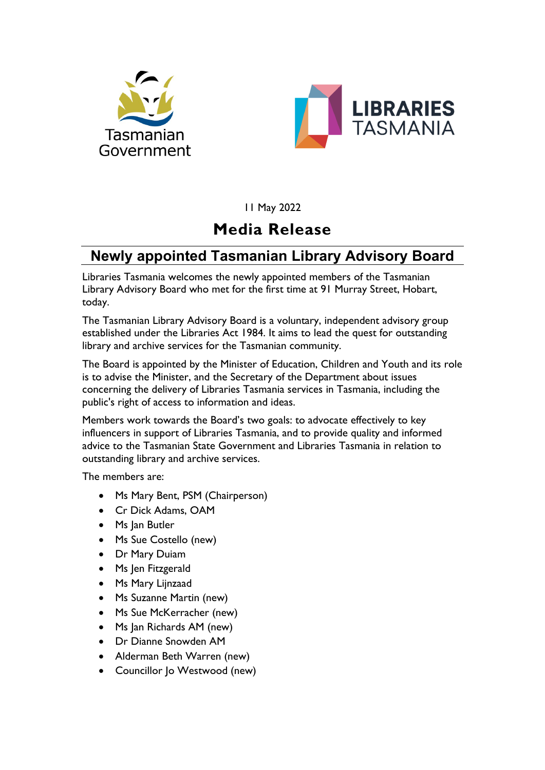



11 May 2022

## **Media Release**

## **Newly appointed Tasmanian Library Advisory Board**

Libraries Tasmania welcomes the newly appointed members of the Tasmanian Library Advisory Board who met for the first time at 91 Murray Street, Hobart, today.

The Tasmanian Library Advisory Board is a voluntary, independent advisory group established under the Libraries Act 1984. It aims to lead the quest for outstanding library and archive services for the Tasmanian community.

The Board is appointed by the Minister of Education, Children and Youth and its role is to advise the Minister, and the Secretary of the Department about issues concerning the delivery of Libraries Tasmania services in Tasmania, including the public's right of access to information and ideas.

Members work towards the Board's two goals: to advocate effectively to key influencers in support of Libraries Tasmania, and to provide quality and informed advice to the Tasmanian State Government and Libraries Tasmania in relation to outstanding library and archive services.

The members are:

- Ms Mary Bent, PSM (Chairperson)
- Cr Dick Adams, OAM
- Ms Jan Butler
- Ms Sue Costello (new)
- Dr Mary Duiam
- Ms Jen Fitzgerald
- Ms Mary Lijnzaad
- Ms Suzanne Martin (new)
- Ms Sue McKerracher (new)
- Ms Jan Richards AM (new)
- Dr Dianne Snowden AM
- Alderman Beth Warren (new)
- Councillor Jo Westwood (new)